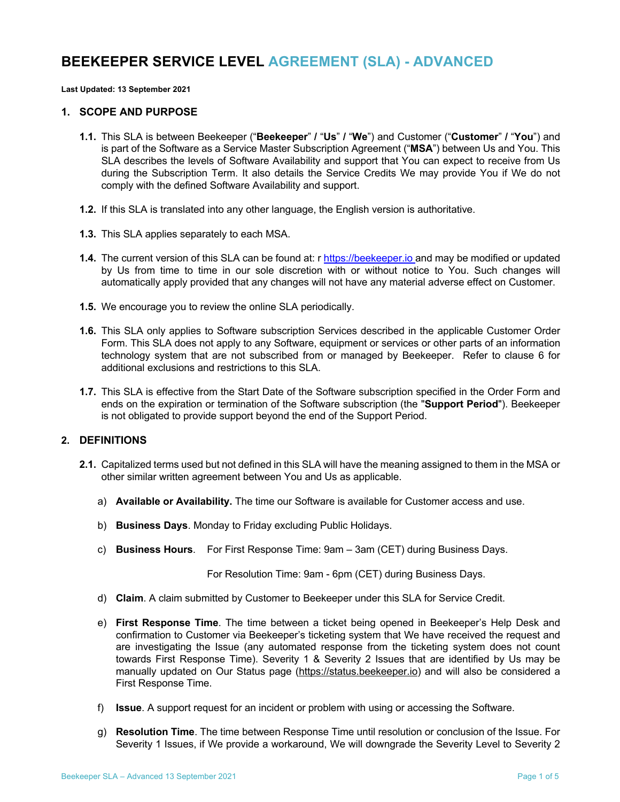# **BEEKEEPER SERVICE LEVEL AGREEMENT (SLA) - ADVANCED**

**Last Updated: 13 September 2021**

#### **1. SCOPE AND PURPOSE**

- **1.1.** This SLA is between Beekeeper ("**Beekeeper**" **/** "**Us**" **/** "**We**") and Customer ("**Customer**" **/** "**You**") and is part of the Software as a Service Master Subscription Agreement ("**MSA**") between Us and You. This SLA describes the levels of Software Availability and support that You can expect to receive from Us during the Subscription Term. It also details the Service Credits We may provide You if We do not comply with the defined Software Availability and support.
- **1.2.** If this SLA is translated into any other language, the English version is authoritative.
- **1.3.** This SLA applies separately to each MSA.
- **1.4.** The current version of this SLA can be found at: r https://beekeeper.io and may be modified or updated by Us from time to time in our sole discretion with or without notice to You. Such changes will automatically apply provided that any changes will not have any material adverse effect on Customer.
- **1.5.** We encourage you to review the online SLA periodically.
- **1.6.** This SLA only applies to Software subscription Services described in the applicable Customer Order Form. This SLA does not apply to any Software, equipment or services or other parts of an information technology system that are not subscribed from or managed by Beekeeper. Refer to clause 6 for additional exclusions and restrictions to this SLA.
- **1.7.** This SLA is effective from the Start Date of the Software subscription specified in the Order Form and ends on the expiration or termination of the Software subscription (the "**Support Period**"). Beekeeper is not obligated to provide support beyond the end of the Support Period.

# **2. DEFINITIONS**

- **2.1.** Capitalized terms used but not defined in this SLA will have the meaning assigned to them in the MSA or other similar written agreement between You and Us as applicable.
	- a) **Available or Availability.** The time our Software is available for Customer access and use.
	- b) **Business Days**. Monday to Friday excluding Public Holidays.
	- c) **Business Hours**. For First Response Time: 9am 3am (CET) during Business Days.

For Resolution Time: 9am - 6pm (CET) during Business Days.

- d) **Claim**. A claim submitted by Customer to Beekeeper under this SLA for Service Credit.
- e) **First Response Time**. The time between a ticket being opened in Beekeeper's Help Desk and confirmation to Customer via Beekeeper's ticketing system that We have received the request and are investigating the Issue (any automated response from the ticketing system does not count towards First Response Time). Severity 1 & Severity 2 Issues that are identified by Us may be manually updated on Our Status page (https://status.beekeeper.io) and will also be considered a First Response Time.
- f) **Issue**. A support request for an incident or problem with using or accessing the Software.
- g) **Resolution Time**. The time between Response Time until resolution or conclusion of the Issue. For Severity 1 Issues, if We provide a workaround, We will downgrade the Severity Level to Severity 2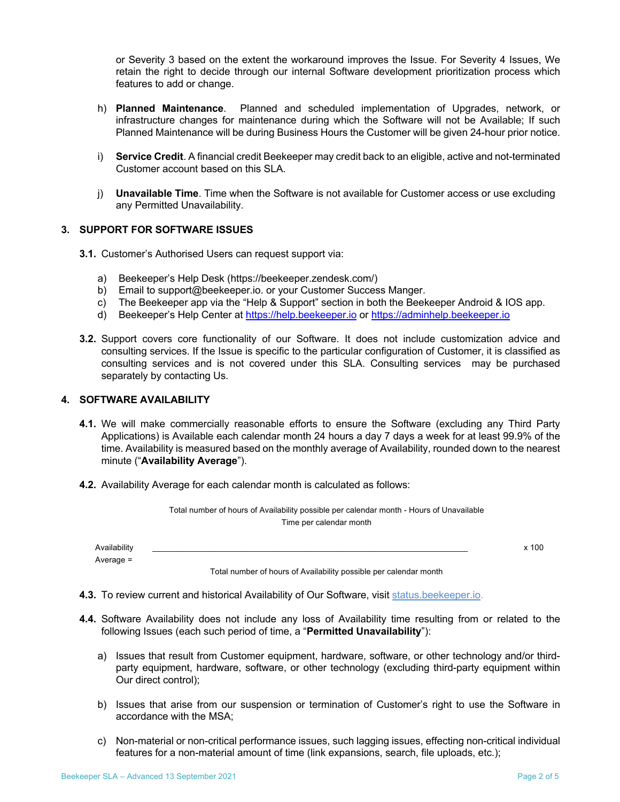or Severity 3 based on the extent the workaround improves the Issue. For Severity 4 Issues, We retain the right to decide through our internal Software development prioritization process which features to add or change.

- h) **Planned Maintenance**. Planned and scheduled implementation of Upgrades, network, or infrastructure changes for maintenance during which the Software will not be Available; If such Planned Maintenance will be during Business Hours the Customer will be given 24-hour prior notice.
- i) **Service Credit**. A financial credit Beekeeper may credit back to an eligible, active and not-terminated Customer account based on this SLA.
- j) **Unavailable Time**. Time when the Software is not available for Customer access or use excluding any Permitted Unavailability.

## **3. SUPPORT FOR SOFTWARE ISSUES**

- **3.1.** Customer's Authorised Users can request support via:
	- a) Beekeeper's Help Desk (https://beekeeper.zendesk.com/)
	- b) Email to support@beekeeper.io. or your Customer Success Manger.
	- c) The Beekeeper app via the "Help & Support" section in both the Beekeeper Android & IOS app.
	- d) Beekeeper's Help Center at https://help.beekeeper.io or https://adminhelp.beekeeper.io
- **3.2.** Support covers core functionality of our Software. It does not include customization advice and consulting services. If the Issue is specific to the particular configuration of Customer, it is classified as consulting services and is not covered under this SLA. Consulting services may be purchased separately by contacting Us.

## **4. SOFTWARE AVAILABILITY**

- **4.1.** We will make commercially reasonable efforts to ensure the Software (excluding any Third Party Applications) is Available each calendar month 24 hours a day 7 days a week for at least 99.9% of the time. Availability is measured based on the monthly average of Availability, rounded down to the nearest minute ("**Availability Average**").
- **4.2.** Availability Average for each calendar month is calculated as follows:

|                             | Total number of hours of Availability possible per calendar month - Hours of Unavailable<br>Time per calendar month |       |
|-----------------------------|---------------------------------------------------------------------------------------------------------------------|-------|
| Availability<br>Average $=$ |                                                                                                                     | x 100 |
|                             | Total number of hours of Availability possible per calendar month                                                   |       |

**4.3.** To review current and historical Availability of Our Software, visit status.beekeeper.io.

- **4.4.** Software Availability does not include any loss of Availability time resulting from or related to the following Issues (each such period of time, a "**Permitted Unavailability**"):
	- a) Issues that result from Customer equipment, hardware, software, or other technology and/or thirdparty equipment, hardware, software, or other technology (excluding third-party equipment within Our direct control);
	- b) Issues that arise from our suspension or termination of Customer's right to use the Software in accordance with the MSA;
	- c) Non-material or non-critical performance issues, such lagging issues, effecting non-critical individual features for a non-material amount of time (link expansions, search, file uploads, etc.);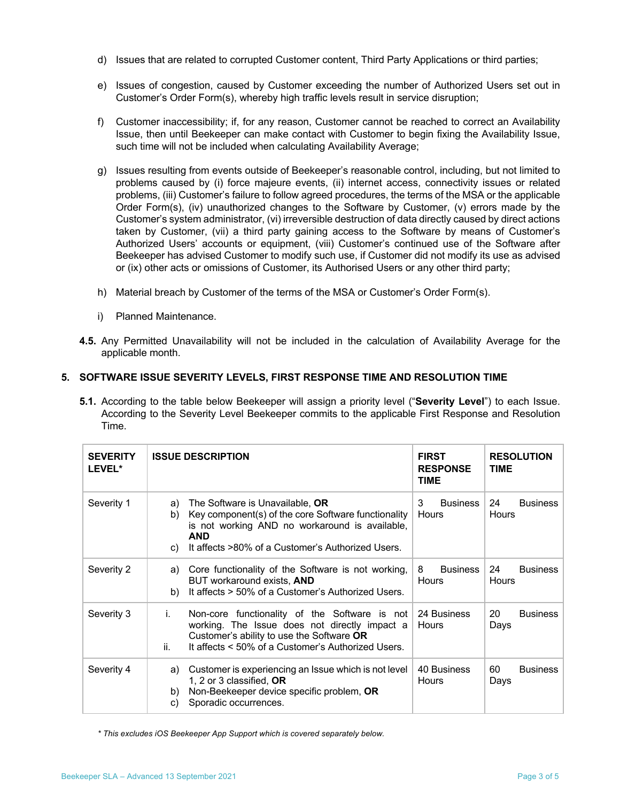- d) Issues that are related to corrupted Customer content, Third Party Applications or third parties;
- e) Issues of congestion, caused by Customer exceeding the number of Authorized Users set out in Customer's Order Form(s), whereby high traffic levels result in service disruption;
- f) Customer inaccessibility; if, for any reason, Customer cannot be reached to correct an Availability Issue, then until Beekeeper can make contact with Customer to begin fixing the Availability Issue, such time will not be included when calculating Availability Average;
- g) Issues resulting from events outside of Beekeeper's reasonable control, including, but not limited to problems caused by (i) force majeure events, (ii) internet access, connectivity issues or related problems, (iii) Customer's failure to follow agreed procedures, the terms of the MSA or the applicable Order Form(s), (iv) unauthorized changes to the Software by Customer, (v) errors made by the Customer's system administrator, (vi) irreversible destruction of data directly caused by direct actions taken by Customer, (vii) a third party gaining access to the Software by means of Customer's Authorized Users' accounts or equipment, (viii) Customer's continued use of the Software after Beekeeper has advised Customer to modify such use, if Customer did not modify its use as advised or (ix) other acts or omissions of Customer, its Authorised Users or any other third party;
- h) Material breach by Customer of the terms of the MSA or Customer's Order Form(s).
- i) Planned Maintenance.
- **4.5.** Any Permitted Unavailability will not be included in the calculation of Availability Average for the applicable month.

# **5. SOFTWARE ISSUE SEVERITY LEVELS, FIRST RESPONSE TIME AND RESOLUTION TIME**

**5.1.** According to the table below Beekeeper will assign a priority level ("**Severity Level**") to each Issue. According to the Severity Level Beekeeper commits to the applicable First Response and Resolution Time.

| <b>SEVERITY</b><br>LEVEL* | <b>ISSUE DESCRIPTION</b>                                                                                                                                                                                               | <b>FIRST</b><br><b>RESPONSE</b><br><b>TIME</b> | <b>RESOLUTION</b><br><b>TIME</b> |
|---------------------------|------------------------------------------------------------------------------------------------------------------------------------------------------------------------------------------------------------------------|------------------------------------------------|----------------------------------|
| Severity 1                | The Software is Unavailable, OR<br>a)<br>Key component(s) of the core Software functionality<br>b)<br>is not working AND no workaround is available,<br>AND<br>It affects >80% of a Customer's Authorized Users.<br>C) | 3<br><b>Business</b><br><b>Hours</b>           | 24<br><b>Business</b><br>Hours   |
| Severity 2                | Core functionality of the Software is not working,<br>a)<br>BUT workaround exists, AND<br>It affects > 50% of a Customer's Authorized Users.<br>b)                                                                     | 8<br><b>Business</b><br>Hours                  | 24<br><b>Business</b><br>Hours   |
| Severity 3                | i.<br>Non-core functionality of the Software is not<br>working. The Issue does not directly impact a<br>Customer's ability to use the Software OR<br>ii.<br>It affects < 50% of a Customer's Authorized Users.         | 24 Business<br>Hours                           | 20<br><b>Business</b><br>Days    |
| Severity 4                | Customer is experiencing an Issue which is not level<br>a)<br>1, 2 or 3 classified, OR<br>Non-Beekeeper device specific problem, OR<br>b)<br>Sporadic occurrences.<br>C)                                               | 40 Business<br>Hours                           | 60<br><b>Business</b><br>Days    |

*\* This excludes iOS Beekeeper App Support which is covered separately below.*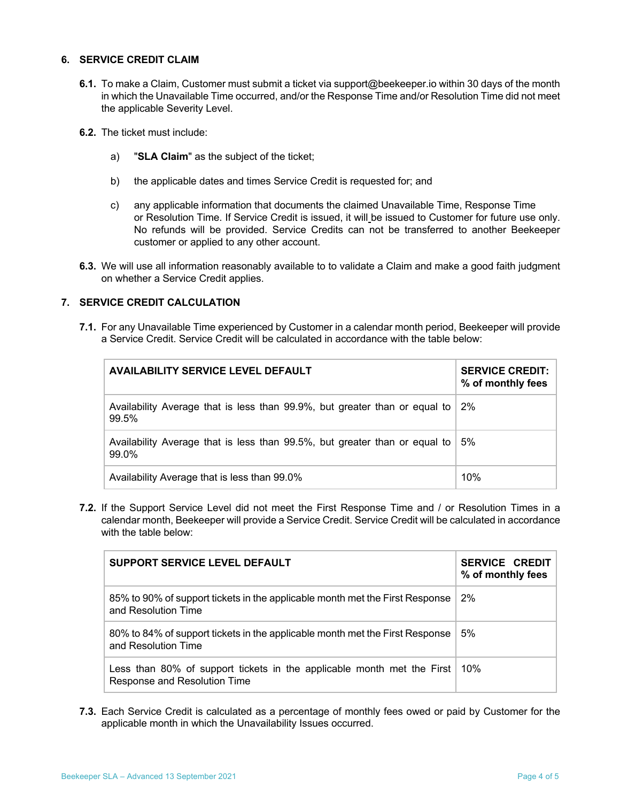## **6. SERVICE CREDIT CLAIM**

- **6.1.** To make a Claim, Customer must submit a ticket via support@beekeeper.io within 30 days of the month in which the Unavailable Time occurred, and/or the Response Time and/or Resolution Time did not meet the applicable Severity Level.
- **6.2.** The ticket must include:
	- a) "**SLA Claim**" as the subject of the ticket;
	- b) the applicable dates and times Service Credit is requested for; and
	- c) any applicable information that documents the claimed Unavailable Time, Response Time or Resolution Time. If Service Credit is issued, it will be issued to Customer for future use only. No refunds will be provided. Service Credits can not be transferred to another Beekeeper customer or applied to any other account.
- **6.3.** We will use all information reasonably available to to validate a Claim and make a good faith judgment on whether a Service Credit applies.

## **7. SERVICE CREDIT CALCULATION**

**7.1.** For any Unavailable Time experienced by Customer in a calendar month period, Beekeeper will provide a Service Credit. Service Credit will be calculated in accordance with the table below:

| <b>AVAILABILITY SERVICE LEVEL DEFAULT</b>                                           | <b>SERVICE CREDIT:</b><br>% of monthly fees |
|-------------------------------------------------------------------------------------|---------------------------------------------|
| Availability Average that is less than 99.9%, but greater than or equal to<br>99.5% | 2%                                          |
| Availability Average that is less than 99.5%, but greater than or equal to<br>99.0% | 5%                                          |
| Availability Average that is less than 99.0%                                        | 10%                                         |

**7.2.** If the Support Service Level did not meet the First Response Time and / or Resolution Times in a calendar month, Beekeeper will provide a Service Credit. Service Credit will be calculated in accordance with the table below:

| SUPPORT SERVICE LEVEL DEFAULT                                                                          | <b>SERVICE CREDIT</b><br>% of monthly fees |
|--------------------------------------------------------------------------------------------------------|--------------------------------------------|
| 85% to 90% of support tickets in the applicable month met the First Response<br>and Resolution Time    | 2%                                         |
| 80% to 84% of support tickets in the applicable month met the First Response<br>and Resolution Time    | 5%                                         |
| Less than 80% of support tickets in the applicable month met the First<br>Response and Resolution Time | $10\%$                                     |

**7.3.** Each Service Credit is calculated as a percentage of monthly fees owed or paid by Customer for the applicable month in which the Unavailability Issues occurred.